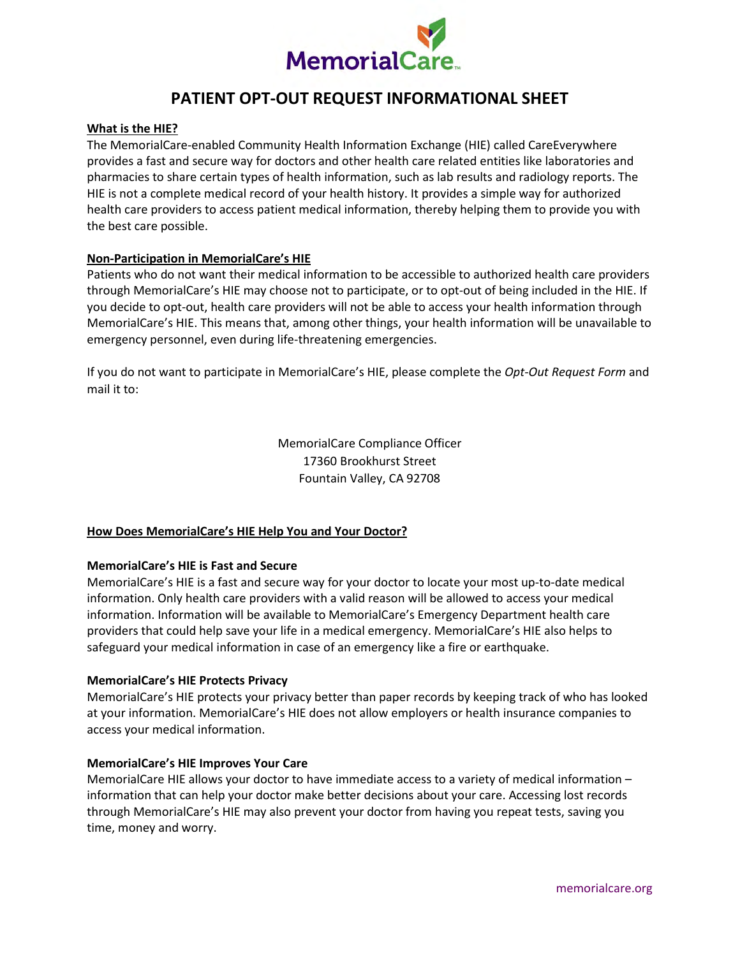

# **PATIENT OPT-OUT REQUEST INFORMATIONAL SHEET**

### **What is the HIE?**

The MemorialCare-enabled Community Health Information Exchange (HIE) called CareEverywhere provides a fast and secure way for doctors and other health care related entities like laboratories and pharmacies to share certain types of health information, such as lab results and radiology reports. The HIE is not a complete medical record of your health history. It provides a simple way for authorized health care providers to access patient medical information, thereby helping them to provide you with the best care possible.

### **Non-Participation in MemorialCare's HIE**

Patients who do not want their medical information to be accessible to authorized health care providers through MemorialCare's HIE may choose not to participate, or to opt-out of being included in the HIE. If you decide to opt-out, health care providers will not be able to access your health information through MemorialCare's HIE. This means that, among other things, your health information will be unavailable to emergency personnel, even during life-threatening emergencies.

If you do not want to participate in MemorialCare's HIE, please complete the *Opt-Out Request Form* and mail it to:

> MemorialCare Compliance Officer 17360 Brookhurst Street Fountain Valley, CA 92708

## **How Does MemorialCare's HIE Help You and Your Doctor?**

#### **MemorialCare's HIE is Fast and Secure**

MemorialCare's HIE is a fast and secure way for your doctor to locate your most up-to-date medical information. Only health care providers with a valid reason will be allowed to access your medical information. Information will be available to MemorialCare's Emergency Department health care providers that could help save your life in a medical emergency. MemorialCare's HIE also helps to safeguard your medical information in case of an emergency like a fire or earthquake.

#### **MemorialCare's HIE Protects Privacy**

MemorialCare's HIE protects your privacy better than paper records by keeping track of who has looked at your information. MemorialCare's HIE does not allow employers or health insurance companies to access your medical information.

#### **MemorialCare's HIE Improves Your Care**

MemorialCare HIE allows your doctor to have immediate access to a variety of medical information – information that can help your doctor make better decisions about your care. Accessing lost records through MemorialCare's HIE may also prevent your doctor from having you repeat tests, saving you time, money and worry.